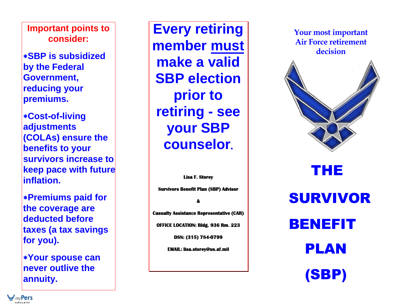**Important points to consider:**

**SBP is subsidized by the Federal Government, reducing your premiums.**

**Cost-of-living adjustments (COLAs) ensure the benefits to your survivors increase to keep pace with future inflation.**

**Premiums paid for the coverage are deducted before taxes (a tax savings for you).**

**Your spouse can never outlive the annuity.**

**Every retiring member must make a valid SBP election prior to retiring - see your SBP counselor .**

**Lisa F. Storey Survivors Benefit Plan (SBP) Advisor & Casualty Assistance Representative (CAR) OFFICE LOCATION: Bldg. 93 6 Rm. 223 DSN: (315) 784-0799 EMAIL: lisa.storey@us.af.mil** 

**Your most important Air Force retirement decision** 



# THE SURVIVOR BENEFIT PLAN (SBP)